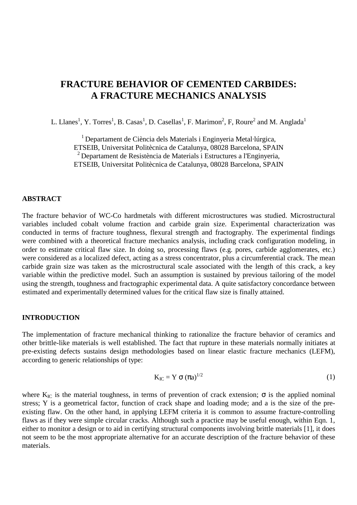# **FRACTURE BEHAVIOR OF CEMENTED CARBIDES: A FRACTURE MECHANICS ANALYSIS**

L. Llanes<sup>1</sup>, Y. Torres<sup>1</sup>, B. Casas<sup>1</sup>, D. Casellas<sup>1</sup>, F. Marimon<sup>2</sup>, F, Roure<sup>2</sup> and M. Anglada<sup>1</sup>

1 Departament de Ciència dels Materials i Enginyeria Metal·lúrgica, ETSEIB, Universitat Politècnica de Catalunya, 08028 Barcelona, SPAIN 2 Departament de Resistència de Materials i Estructures a l'Enginyeria, ETSEIB, Universitat Politècnica de Catalunya, 08028 Barcelona, SPAIN

#### **ABSTRACT**

The fracture behavior of WC-Co hardmetals with different microstructures was studied. Microstructural variables included cobalt volume fraction and carbide grain size. Experimental characterization was conducted in terms of fracture toughness, flexural strength and fractography. The experimental findings were combined with a theoretical fracture mechanics analysis, including crack configuration modeling, in order to estimate critical flaw size. In doing so, processing flaws (e.g. pores, carbide agglomerates, etc.) were considered as a localized defect, acting as a stress concentrator, plus a circumferential crack. The mean carbide grain size was taken as the microstructural scale associated with the length of this crack, a key variable within the predictive model. Such an assumption is sustained by previous tailoring of the model using the strength, toughness and fractographic experimental data. A quite satisfactory concordance between estimated and experimentally determined values for the critical flaw size is finally attained.

#### **INTRODUCTION**

The implementation of fracture mechanical thinking to rationalize the fracture behavior of ceramics and other brittle-like materials is well established. The fact that rupture in these materials normally initiates at pre-existing defects sustains design methodologies based on linear elastic fracture mechanics (LEFM), according to generic relationships of type:

$$
K_{IC} = Y \sigma (\pi a)^{1/2} \tag{1}
$$

where  $K_{IC}$  is the material toughness, in terms of prevention of crack extension;  $\sigma$  is the applied nominal stress; Y is a geometrical factor, function of crack shape and loading mode; and a is the size of the preexisting flaw. On the other hand, in applying LEFM criteria it is common to assume fracture-controlling flaws as if they were simple circular cracks. Although such a practice may be useful enough, within Eqn. 1, either to monitor a design or to aid in certifying structural components involving brittle materials [1], it does not seem to be the most appropriate alternative for an accurate description of the fracture behavior of these materials.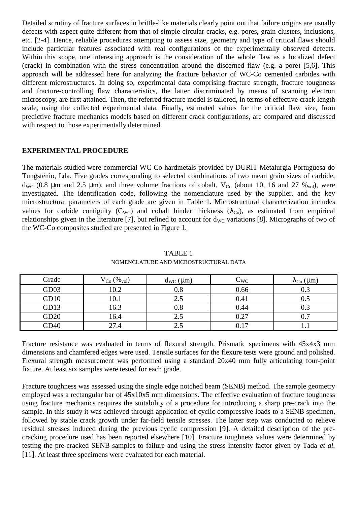Detailed scrutiny of fracture surfaces in brittle-like materials clearly point out that failure origins are usually defects with aspect quite different from that of simple circular cracks, e.g. pores, grain clusters, inclusions, etc. [2-4]. Hence, reliable procedures attempting to assess size, geometry and type of critical flaws should include particular features associated with real configurations of the experimentally observed defects. Within this scope, one interesting approach is the consideration of the whole flaw as a localized defect (crack) in combination with the stress concentration around the discerned flaw (e.g. a pore) [5,6]. This approach will be addressed here for analyzing the fracture behavior of WC-Co cemented carbides with different microstructures. In doing so, experimental data comprising fracture strength, fracture toughness and fracture-controlling flaw characteristics, the latter discriminated by means of scanning electron microscopy, are first attained. Then, the referred fracture model is tailored, in terms of effective crack length scale, using the collected experimental data. Finally, estimated values for the critical flaw size, from predictive fracture mechanics models based on different crack configurations, are compared and discussed with respect to those experimentally determined.

## **EXPERIMENTAL PROCEDURE**

The materials studied were commercial WC-Co hardmetals provided by DURIT Metalurgia Portuguesa do Tungsténio, Lda. Five grades corresponding to selected combinations of two mean grain sizes of carbide, d<sub>WC</sub> (0.8  $\mu$ m and 2.5  $\mu$ m), and three volume fractions of cobalt, V<sub>Co</sub> (about 10, 16 and 27  $\%$ <sub>vol</sub>), were investigated. The identification code, following the nomenclature used by the supplier, and the key microstructural parameters of each grade are given in Table 1. Microstructural characterization includes values for carbide contiguity (C<sub>WC</sub>) and cobalt binder thickness ( $\lambda_{\text{Co}}$ ), as estimated from empirical relationships given in the literature [7], but refined to account for  $d_{\rm WC}$  variations [8]. Micrographs of two of the WC-Co composites studied are presented in Figure 1.

| Grade            | $V_{Co}$ (% <sub>vol</sub> ) | $d_{WC}$ ( $\mu$ m) | $\mathrm{C}_{\mathrm{WC}}$ | $\lambda_{\rm Co}$ (µm) |
|------------------|------------------------------|---------------------|----------------------------|-------------------------|
| GD03             | 10.2                         | 0.8                 | 0.66                       |                         |
| GD10             | $\overline{0.1}$             | د. ۷                | 0.41                       |                         |
| GD13             | 16.3                         |                     | 0.44                       | ∪.J                     |
| GD <sub>20</sub> | 16.4                         | 2.5                 | 0.27                       |                         |
| GD <sub>40</sub> | 27.4                         |                     | 0.17                       |                         |

TABLE 1 NOMENCLATURE AND MICROSTRUCTURAL DATA

Fracture resistance was evaluated in terms of flexural strength. Prismatic specimens with 45x4x3 mm dimensions and chamfered edges were used. Tensile surfaces for the flexure tests were ground and polished. Flexural strength measurement was performed using a standard 20x40 mm fully articulating four-point fixture. At least six samples were tested for each grade.

Fracture toughness was assessed using the single edge notched beam (SENB) method. The sample geometry employed was a rectangular bar of 45x10x5 mm dimensions. The effective evaluation of fracture toughness using fracture mechanics requires the suitability of a procedure for introducing a sharp pre-crack into the sample. In this study it was achieved through application of cyclic compressive loads to a SENB specimen, followed by stable crack growth under far-field tensile stresses. The latter step was conducted to relieve residual stresses induced during the previous cyclic compression [9]. A detailed description of the precracking procedure used has been reported elsewhere [10]. Fracture toughness values were determined by testing the pre-cracked SENB samples to failure and using the stress intensity factor given by Tada *et al.* [11]. At least three specimens were evaluated for each material.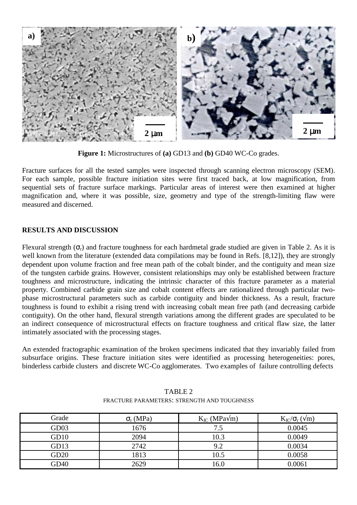

**Figure 1:** Microstructures of **(a)** GD13 and **(b)** GD40 WC-Co grades.

Fracture surfaces for all the tested samples were inspected through scanning electron microscopy (SEM). For each sample, possible fracture initiation sites were first traced back, at low magnification, from sequential sets of fracture surface markings. Particular areas of interest were then examined at higher magnification and, where it was possible, size, geometry and type of the strength-limiting flaw were measured and discerned.

# **RESULTS AND DISCUSSION**

Flexural strength  $(\sigma_r)$  and fracture toughness for each hardmetal grade studied are given in Table 2. As it is well known from the literature (extended data compilations may be found in Refs. [8,12]), they are strongly dependent upon volume fraction and free mean path of the cobalt binder, and the contiguity and mean size of the tungsten carbide grains. However, consistent relationships may only be established between fracture toughness and microstructure, indicating the intrinsic character of this fracture parameter as a material property. Combined carbide grain size and cobalt content effects are rationalized through particular twophase microstructural parameters such as carbide contiguity and binder thickness. As a result, fracture toughness is found to exhibit a rising trend with increasing cobalt mean free path (and decreasing carbide contiguity). On the other hand, flexural strength variations among the different grades are speculated to be an indirect consequence of microstructural effects on fracture toughness and critical flaw size, the latter intimately associated with the processing stages.

An extended fractographic examination of the broken specimens indicated that they invariably failed from subsurface origins. These fracture initiation sites were identified as processing heterogeneities: pores, binderless carbide clusters and discrete WC-Co agglomerates. Two examples of failure controlling defects

| Grade | $\sigma_{r}$ (MPa) | $K_{IC}$ (MPa $\sqrt{m}$ ) | $K_{IC}/\sigma_r$ ( $\sqrt{m}$ ) |
|-------|--------------------|----------------------------|----------------------------------|
| GD03  | 1676               | 7.5                        | 0.0045                           |
| GD10  | 2094               | 10.3                       | 0.0049                           |
| GD13  | 2742               | 9.2                        | 0.0034                           |
| GD20  | 1813               | 10.5                       | 0.0058                           |
| GD40  | 2629               | 16.0                       | 0.0061                           |

TABLE 2 FRACTURE PARAMETERS: STRENGTH AND TOUGHNESS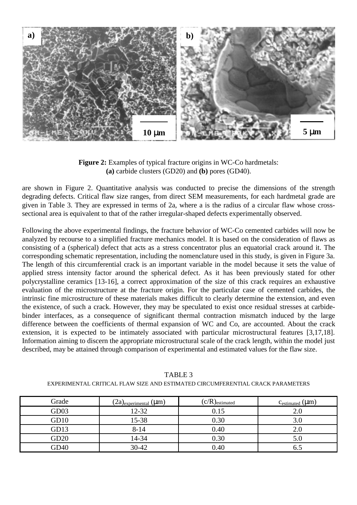

**Figure 2:** Examples of typical fracture origins in WC-Co hardmetals: **(a)** carbide clusters (GD20) and **(b)** pores (GD40).

are shown in Figure 2. Quantitative analysis was conducted to precise the dimensions of the strength degrading defects. Critical flaw size ranges, from direct SEM measurements, for each hardmetal grade are given in Table 3. They are expressed in terms of 2a, where a is the radius of a circular flaw whose crosssectional area is equivalent to that of the rather irregular-shaped defects experimentally observed.

Following the above experimental findings, the fracture behavior of WC-Co cemented carbides will now be analyzed by recourse to a simplified fracture mechanics model. It is based on the consideration of flaws as consisting of a (spherical) defect that acts as a stress concentrator plus an equatorial crack around it. The corresponding schematic representation, including the nomenclature used in this study, is given in Figure 3a. The length of this circumferential crack is an important variable in the model because it sets the value of applied stress intensity factor around the spherical defect. As it has been previously stated for other polycrystalline ceramics [13-16], a correct approximation of the size of this crack requires an exhaustive evaluation of the microstructure at the fracture origin. For the particular case of cemented carbides, the intrinsic fine microstructure of these materials makes difficult to clearly determine the extension, and even the existence, of such a crack. However, they may be speculated to exist once residual stresses at carbidebinder interfaces, as a consequence of significant thermal contraction mismatch induced by the large difference between the coefficients of thermal expansion of WC and Co, are accounted. About the crack extension, it is expected to be intimately associated with particular microstructural features [3,17,18]. Information aiming to discern the appropriate microstructural scale of the crack length, within the model just described, may be attained through comparison of experimental and estimated values for the flaw size.

| Grade            | $(2a)$ <sub>experimental</sub> $(\mu m)$ | $(c/R)_{\text{estimated}}$ | $c_{\text{estimated}}$ ( $\mu$ m) |
|------------------|------------------------------------------|----------------------------|-----------------------------------|
| GD <sub>03</sub> | $12 - 32$                                | 0.15                       | 2.0                               |
| GD10             | $15 - 38$                                | 0.30                       | 3.0                               |
| GD13             | $8 - 14$                                 | 0.40                       | 2.0                               |
| GD20             | 14-34                                    | 0.30                       | 5.0                               |
| GD <sub>40</sub> | $30 - 42$                                | 0.40                       | 6.5                               |

TABLE 3 EXPERIMENTAL CRITICAL FLAW SIZE AND ESTIMATED CIRCUMFERENTIAL CRACK PARAMETERS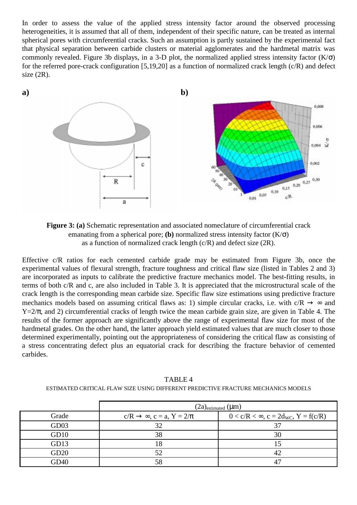In order to assess the value of the applied stress intensity factor around the observed processing heterogeneities, it is assumed that all of them, independent of their specific nature, can be treated as internal spherical pores with circumferential cracks. Such an assumption is partly sustained by the experimental fact that physical separation between carbide clusters or material agglomerates and the hardmetal matrix was commonly revealed. Figure 3b displays, in a 3-D plot, the normalized applied stress intensity factor  $(K/\sigma)$ for the referred pore-crack configuration [5,19,20] as a function of normalized crack length (c/R) and defect size  $(2R)$ .



**Figure 3: (a)** Schematic representation and associated nomeclature of circumferential crack emanating from a spherical pore; **(b)** normalized stress intensity factor  $(K/\sigma)$ as a function of normalized crack length  $(c/R)$  and defect size  $(2R)$ .

Effective c/R ratios for each cemented carbide grade may be estimated from Figure 3b, once the experimental values of flexural strength, fracture toughness and critical flaw size (listed in Tables 2 and 3) are incorporated as inputs to calibrate the predictive fracture mechanics model. The best-fitting results, in terms of both c/R and c, are also included in Table 3. It is appreciated that the microstructural scale of the crack length is the corresponding mean carbide size. Specific flaw size estimations using predictive fracture mechanics models based on assuming critical flaws as: 1) simple circular cracks, i.e. with  $c/R \rightarrow \infty$  and  $Y=2/\pi$ , and 2) circumferential cracks of length twice the mean carbide grain size, are given in Table 4. The results of the former approach are significantly above the range of experimental flaw size for most of the hardmetal grades. On the other hand, the latter approach yield estimated values that are much closer to those determined experimentally, pointing out the appropriateness of considering the critical flaw as consisting of a stress concentrating defect plus an equatorial crack for describing the fracture behavior of cemented carbides.

|                  | $(2a)_{estimated}$ (µm)                          |                                                   |  |
|------------------|--------------------------------------------------|---------------------------------------------------|--|
| Grade            | $c/R \rightarrow \infty$ , $c = a$ , $Y = 2/\pi$ | $0 < c/R < \infty$ , $c = 2d_{WC}$ , $Y = f(c/R)$ |  |
| GD <sub>03</sub> | 32                                               |                                                   |  |
| GD10             | 38                                               | 30                                                |  |
| GD13             | -0                                               |                                                   |  |
| GD20             | 52                                               |                                                   |  |
| GD <sub>40</sub> | 58                                               |                                                   |  |

TABLE 4 ESTIMATED CRITICAL FLAW SIZE USING DIFFERENT PREDICTIVE FRACTURE MECHANICS MODELS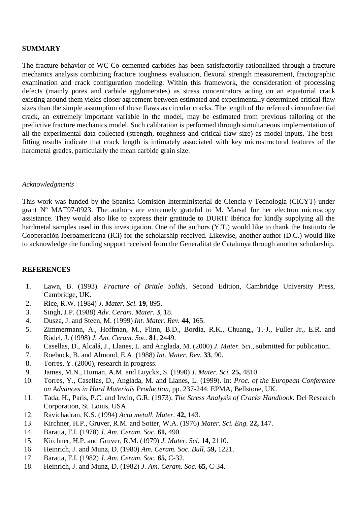# **SUMMARY**

The fracture behavior of WC-Co cemented carbides has been satisfactorily rationalized through a fracture mechanics analysis combining fracture toughness evaluation, flexural strength measurement, fractographic examination and crack configuration modeling. Within this framework, the consideration of processing defects (mainly pores and carbide agglomerates) as stress concentrators acting on an equatorial crack existing around them yields closer agreement between estimated and experimentally determined critical flaw sizes than the simple assumption of these flaws as circular cracks. The length of the referred circumferential crack, an extremely important variable in the model, may be estimated from previous tailoring of the predictive fracture mechanics model. Such calibration is performed through simultaneous implementation of all the experimental data collected (strength, toughness and critical flaw size) as model inputs. The bestfitting results indicate that crack length is intimately associated with key microstructural features of the hardmetal grades, particularly the mean carbide grain size.

### *Acknowledgments*

This work was funded by the Spanish Comisión Interministerial de Ciencia y Tecnología (CICYT) under grant Nº MAT97-0923. The authors are extremely grateful to M. Marsal for her electron microscopy assistance. They would also like to express their gratitude to DURIT Ibérica for kindly supplying all the hardmetal samples used in this investigation. One of the authors (Y.T.) would like to thank the Instituto de Cooperación Iberoamericana (ICI) for the scholarship received. Likewise, another author (D.C.) would like to acknowledge the funding support received from the Generalitat de Catalunya through another scholarship.

## **REFERENCES**

- 1. Lawn, B. (1993). *Fracture of Brittle Solids.* Second Edition, Cambridge University Press, Cambridge, UK.
- 2. Rice, R.W. (1984) *J. Mater. Sci.* **19**, 895.
- 3. Singh, J.P. (1988) *Adv. Ceram. Mater.* **3**, 18.
- 4. Dusza, J. and Steen, M. (1999) *Int. Mater. Rev.* **44**, 165.
- 5. Zimmermann, A., Hoffman, M., Flinn, B.D., Bordia, R.K., Chuang,, T.-J., Fuller Jr., E.R. and Rödel, J. (1998) *J. Am. Ceram. Soc.* **81**, 2449.
- 6. Casellas, D., Alcalá, J., Llanes, L. and Anglada, M. (2000) *J. Mater. Sci.*, submitted for publication.
- 7. Roebuck, B. and Almond, E.A. (1988) *Int. Mater. Rev.* **33**, 90.
- 8. Torres, Y. (2000), research in progress.
- 9. James, M.N., Human, A.M. and Luyckx, S. (1990) *J. Mater. Sci.* **25,** 4810.
- 10. Torres, Y., Casellas, D., Anglada, M. and Llanes, L. (1999). In: *Proc. of the European Conference on Advances in Hard Materials Production,* pp. 237-244. EPMA, Bellstone, UK.
- 11. Tada, H., Paris, P.C. and Irwin, G.R. (1973). *The Stress Analysis of Cracks Handbook.* Del Research Corporation, St. Louis, USA.
- 12. Ravichadran, K.S. (1994) *Acta metall. Mater.* **42,** 143.
- 13. Kirchner, H.P., Gruver, R.M. and Sotter, W.A. (1976) *Mater. Sci. Eng.* **22,** 147.
- 14. Baratta, F.I. (1978) *J. Am. Ceram. Soc.* **61,** 490.
- 15. Kirchner, H.P. and Gruver, R.M. (1979) *J. Mater. Sci.* **14,** 2110.
- 16. Heinrich, J. and Munz, D. (1980) *Am. Ceram. Soc. Bull.* **59,** 1221.
- 17. Baratta, F.I. (1982) *J. Am. Ceram. Soc.* **65,** C-32.
- 18. Heinrich, J. and Munz, D. (1982) *J. Am. Ceram. Soc.* **65,** C-34.